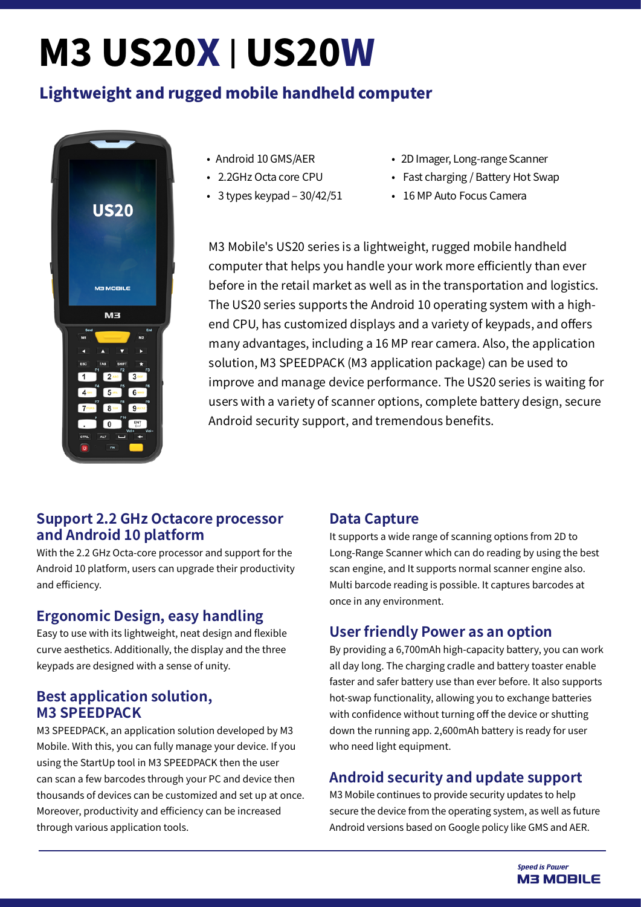# M3 US20X | US20W

# Lightweight and rugged mobile handheld computer



- Android 10 GMS/AER
- 2.2GHz Octa core CPU
- $\cdot$  3 types keypad 30/42/51
- 2D Imager, Long-range Scanner
- Fast charging / Battery Hot Swap
- 16 MP Auto Focus Camera

M3 Mobile's US20 series is a lightweight, rugged mobile handheld computer that helps you handle your work more efficiently than ever before in the retail market as well as in the transportation and logistics. The US20 series supports the Android 10 operating system with a highend CPU, has customized displays and a variety of keypads, and offers many advantages, including a 16 MP rear camera. Also, the application solution, M3 SPEEDPACK (M3 application package) can be used to improve and manage device performance. The US20 series is waiting for users with a variety of scanner options, complete battery design, secure Android security support, and tremendous benefits.

### **Support 2.2 GHz Octacore processor and Android 10 platform**

With the 2.2 GHz Octa-core processor and support for the Android 10 platform, users can upgrade their productivity and efficiency.

# **Ergonomic Design, easy handling**

Easy to use with its lightweight, neat design and flexible curve aesthetics. Additionally, the display and the three keypads are designed with a sense of unity.

### **Best application solution, M3 SPEEDPACK**

M3 SPEEDPACK, an application solution developed by M3 Mobile. With this, you can fully manage your device. If you using the StartUp tool in M3 SPEEDPACK then the user can scan a few barcodes through your PC and device then thousands of devices can be customized and set up at once. Moreover, productivity and efficiency can be increased through various application tools.

# **Data Capture**

It supports a wide range of scanning options from 2D to Long-Range Scanner which can do reading by using the best scan engine, and It supports normal scanner engine also. Multi barcode reading is possible. It captures barcodes at once in any environment.

# **User friendly Power as an option**

By providing a 6,700mAh high-capacity battery, you can work all day long. The charging cradle and battery toaster enable faster and safer battery use than ever before. It also supports hot-swap functionality, allowing you to exchange batteries with confidence without turning off the device or shutting down the running app. 2,600mAh battery is ready for user who need light equipment.

# **Android security and update support**

M3 Mobile continues to provide security updates to help secure the device from the operating system, as well as future Android versions based on Google policy like GMS and AER.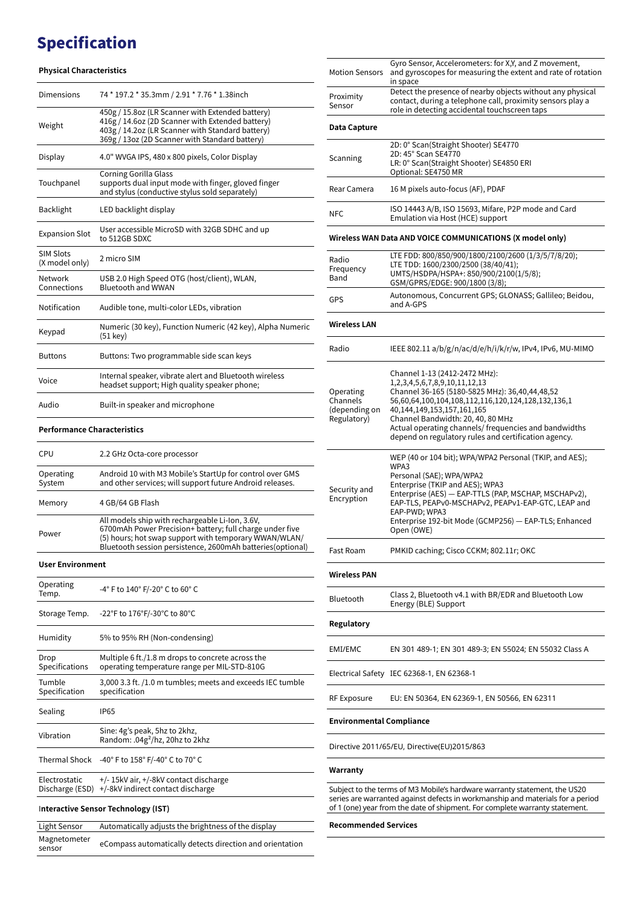# Specification

### **Physical Characteristics**

| <b>Dimensions</b>                  | 74 * 197.2 * 35.3mm / 2.91 * 7.76 * 1.38inch                                                                                                                                                               |  |
|------------------------------------|------------------------------------------------------------------------------------------------------------------------------------------------------------------------------------------------------------|--|
| Weight                             | 450g / 15.8oz (LR Scanner with Extended battery)<br>416g / 14.6oz (2D Scanner with Extended battery)<br>403g / 14.2oz (LR Scanner with Standard battery)<br>369g / 13oz (2D Scanner with Standard battery) |  |
| Display                            | 4.0" WVGA IPS, 480 x 800 pixels, Color Display                                                                                                                                                             |  |
| Touchpanel                         | <b>Corning Gorilla Glass</b><br>supports dual input mode with finger, gloved finger<br>and stylus (conductive stylus sold separately)                                                                      |  |
| <b>Backlight</b>                   | LED backlight display                                                                                                                                                                                      |  |
| <b>Expansion Slot</b>              | User accessible MicroSD with 32GB SDHC and up<br>to 512GB SDXC                                                                                                                                             |  |
| <b>SIM Slots</b><br>(X model only) | 2 micro SIM                                                                                                                                                                                                |  |
| Network<br>Connections             | USB 2.0 High Speed OTG (host/client), WLAN,<br><b>Bluetooth and WWAN</b>                                                                                                                                   |  |
| Notification                       | Audible tone, multi-color LEDs, vibration                                                                                                                                                                  |  |
| Keypad                             | Numeric (30 key), Function Numeric (42 key), Alpha Numeric<br>$(51 \text{ keV})$                                                                                                                           |  |
| <b>Buttons</b>                     | Buttons: Two programmable side scan keys                                                                                                                                                                   |  |
| Voice                              | Internal speaker, vibrate alert and Bluetooth wireless<br>headset support; High quality speaker phone;                                                                                                     |  |
| Audio                              | Built-in speaker and microphone                                                                                                                                                                            |  |
| <b>Performance Characteristics</b> |                                                                                                                                                                                                            |  |

| CPU                 | 2.2 GHz Octa-core processor                                                                                                                                                                                                         |
|---------------------|-------------------------------------------------------------------------------------------------------------------------------------------------------------------------------------------------------------------------------------|
| Operating<br>System | Android 10 with M3 Mobile's StartUp for control over GMS<br>and other services; will support future Android releases.                                                                                                               |
| Memory              | 4 GB/64 GB Flash                                                                                                                                                                                                                    |
| Power               | All models ship with rechargeable Li-Ion, 3.6V,<br>6700mAh Power Precision+ battery; full charge under five<br>(5) hours; hot swap support with temporary WWAN/WLAN/<br>Bluetooth session persistence, 2600mAh batteries (optional) |

### **User Environment**

| Operating<br>Temp.                  | -4° F to 140° F/-20° C to 60° C                                                                   |  |
|-------------------------------------|---------------------------------------------------------------------------------------------------|--|
| Storage Temp.                       | -22°F to 176°F/-30°C to 80°C                                                                      |  |
| Humidity                            | 5% to 95% RH (Non-condensing)                                                                     |  |
| Drop<br>Specifications              | Multiple 6 ft./1.8 m drops to concrete across the<br>operating temperature range per MIL-STD-810G |  |
| Tumble<br>Specification             | 3,000 3.3 ft. /1.0 m tumbles; meets and exceeds IEC tumble<br>specification                       |  |
| Sealing                             | <b>IP65</b>                                                                                       |  |
| Vibration                           | Sine: 4g's peak, 5hz to 2khz,<br>Random: .04g <sup>2</sup> /hz, 20hz to 2khz                      |  |
|                                     | Thermal Shock -40° F to 158° F/-40° C to 70° C                                                    |  |
| Electrostatic<br>Discharge (ESD)    | +/- 15kV air, +/-8kV contact discharge<br>+/-8kV indirect contact discharge                       |  |
| Interactive Sensor Technology (IST) |                                                                                                   |  |
| Light Sensor                        | Automatically adjusts the brightness of the display                                               |  |
| Magnetometer<br>sensor              | eCompass automatically detects direction and orientation                                          |  |

| <b>Motion Sensors</b>                                 | Gyro Sensor, Accelerometers: for X,Y, and Z movement,<br>and gyroscopes for measuring the extent and rate of rotation<br>in space                                                                                                                                                                                                                                      |
|-------------------------------------------------------|------------------------------------------------------------------------------------------------------------------------------------------------------------------------------------------------------------------------------------------------------------------------------------------------------------------------------------------------------------------------|
| Proximity<br>Sensor                                   | Detect the presence of nearby objects without any physical<br>contact, during a telephone call, proximity sensors play a<br>role in detecting accidental touchscreen taps                                                                                                                                                                                              |
| Data Capture                                          |                                                                                                                                                                                                                                                                                                                                                                        |
|                                                       | 2D: 0° Scan(Straight Shooter) SE4770<br>2D: 45° Scan SE4770                                                                                                                                                                                                                                                                                                            |
| Scanning                                              | LR: 0° Scan(Straight Shooter) SE4850 ERI<br>Optional: SE4750 MR                                                                                                                                                                                                                                                                                                        |
| Rear Camera                                           | 16 M pixels auto-focus (AF), PDAF                                                                                                                                                                                                                                                                                                                                      |
| <b>NFC</b>                                            | ISO 14443 A/B, ISO 15693, Mifare, P2P mode and Card<br>Emulation via Host (HCE) support                                                                                                                                                                                                                                                                                |
|                                                       | Wireless WAN Data AND VOICE COMMUNICATIONS (X model only)                                                                                                                                                                                                                                                                                                              |
| Radio<br>Frequency<br>Band                            | LTE FDD: 800/850/900/1800/2100/2600 (1/3/5/7/8/20);<br>LTE TDD: 1600/2300/2500 (38/40/41);<br>UMTS/HSDPA/HSPA+: 850/900/2100(1/5/8);<br>GSM/GPRS/EDGE: 900/1800 (3/8);                                                                                                                                                                                                 |
| GPS                                                   | Autonomous, Concurrent GPS; GLONASS; Gallileo; Beidou,<br>and A-GPS                                                                                                                                                                                                                                                                                                    |
| <b>Wireless LAN</b>                                   |                                                                                                                                                                                                                                                                                                                                                                        |
| Radio                                                 | IEEE 802.11 a/b/g/n/ac/d/e/h/i/k/r/w, IPv4, IPv6, MU-MIMO                                                                                                                                                                                                                                                                                                              |
| Operating<br>Channels<br>(depending on<br>Regulatory) | Channel 1-13 (2412-2472 MHz):<br>1, 2, 3, 4, 5, 6, 7, 8, 9, 10, 11, 12, 13<br>Channel 36-165 (5180-5825 MHz): 36,40,44,48,52<br>56,60,64,100,104,108,112,116,120,124,128,132,136,1<br>40,144,149,153,157,161,165<br>Channel Bandwidth: 20, 40, 80 MHz<br>Actual operating channels/ frequencies and bandwidths<br>depend on regulatory rules and certification agency. |
| Security and<br>Encryption                            | WEP (40 or 104 bit); WPA/WPA2 Personal (TKIP, and AES);<br>WPA3<br>Personal (SAE); WPA/WPA2<br>Enterprise (TKIP and AES); WPA3<br>Enterprise (AES) - EAP-TTLS (PAP, MSCHAP, MSCHAPv2),<br>EAP-TLS, PEAPv0-MSCHAPv2, PEAPv1-EAP-GTC, LEAP and<br>EAP-PWD; WPA3<br>Enterprise 192-bit Mode (GCMP256) - EAP-TLS; Enhanced<br>Open (OWE)                                   |
| Fast Roam                                             | PMKID caching; Cisco CCKM; 802.11r; OKC                                                                                                                                                                                                                                                                                                                                |
| <b>Wireless PAN</b>                                   |                                                                                                                                                                                                                                                                                                                                                                        |
| Bluetooth                                             | Class 2, Bluetooth v4.1 with BR/EDR and Bluetooth Low<br>Energy (BLE) Support                                                                                                                                                                                                                                                                                          |
| Regulatory                                            |                                                                                                                                                                                                                                                                                                                                                                        |
| EMI/EMC                                               | EN 301 489-1; EN 301 489-3; EN 55024; EN 55032 Class A                                                                                                                                                                                                                                                                                                                 |
|                                                       | Electrical Safety IEC 62368-1, EN 62368-1                                                                                                                                                                                                                                                                                                                              |
| RF Exposure                                           | EU: EN 50364, EN 62369-1, EN 50566, EN 62311                                                                                                                                                                                                                                                                                                                           |
| <b>Environmental Compliance</b>                       |                                                                                                                                                                                                                                                                                                                                                                        |
|                                                       | Directive 2011/65/EU, Directive(EU)2015/863                                                                                                                                                                                                                                                                                                                            |
| Warranty                                              |                                                                                                                                                                                                                                                                                                                                                                        |
|                                                       | Subject to the terms of M3 Mobile's hardware warranty statement, the US20<br>series are warranted against defects in workmanship and materials for a period<br>of 1 (one) year from the date of shipment. For complete warranty statement.                                                                                                                             |
|                                                       |                                                                                                                                                                                                                                                                                                                                                                        |

**Recommended Services**